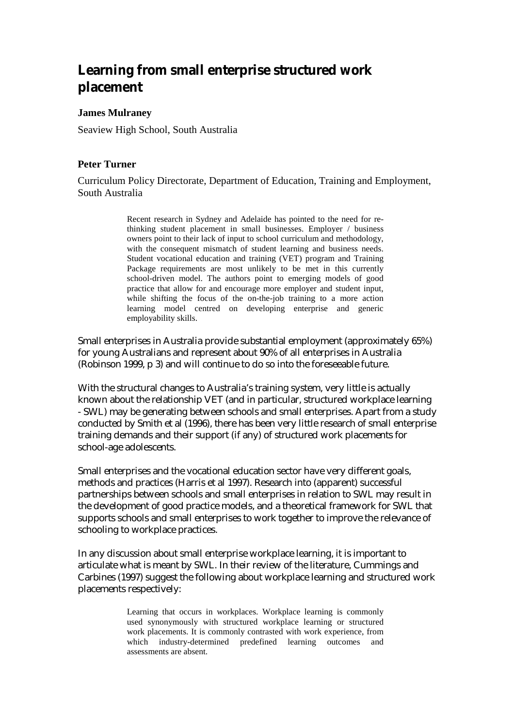# **Learning from small enterprise structured work placement**

#### **James Mulraney**

Seaview High School, South Australia

# **Peter Turner**

Curriculum Policy Directorate, Department of Education, Training and Employment, South Australia

> Recent research in Sydney and Adelaide has pointed to the need for rethinking student placement in small businesses. Employer / business owners point to their lack of input to school curriculum and methodology, with the consequent mismatch of student learning and business needs. Student vocational education and training (VET) program and Training Package requirements are most unlikely to be met in this currently school-driven model. The authors point to emerging models of good practice that allow for and encourage more employer and student input, while shifting the focus of the on-the-job training to a more action learning model centred on developing enterprise and generic employability skills.

Small enterprises in Australia provide substantial employment (approximately 65%) for young Australians and represent about 90% of all enterprises in Australia (Robinson 1999, p 3) and will continue to do so into the foreseeable future.

With the structural changes to Australia's training system, very little is actually known about the relationship VET (and in particular, structured workplace learning - SWL) may be generating between schools and small enterprises. Apart from a study conducted by Smith et al (1996), there has been very little research of small enterprise training demands and their support (if any) of structured work placements for school-age adolescents.

Small enterprises and the vocational education sector have very different goals, methods and practices (Harris et al 1997). Research into (apparent) successful partnerships between schools and small enterprises in relation to SWL may result in the development of good practice models, and a theoretical framework for SWL that supports schools and small enterprises to work together to improve the relevance of schooling to workplace practices.

In any discussion about small enterprise workplace learning, it is important to articulate what is meant by SWL. In their review of the literature, Cummings and Carbines (1997) suggest the following about workplace learning and structured work placements respectively:

> Learning that occurs in workplaces. Workplace learning is commonly used synonymously with structured workplace learning or structured work placements. It is commonly contrasted with work experience, from which industry-determined predefined learning outcomes and assessments are absent.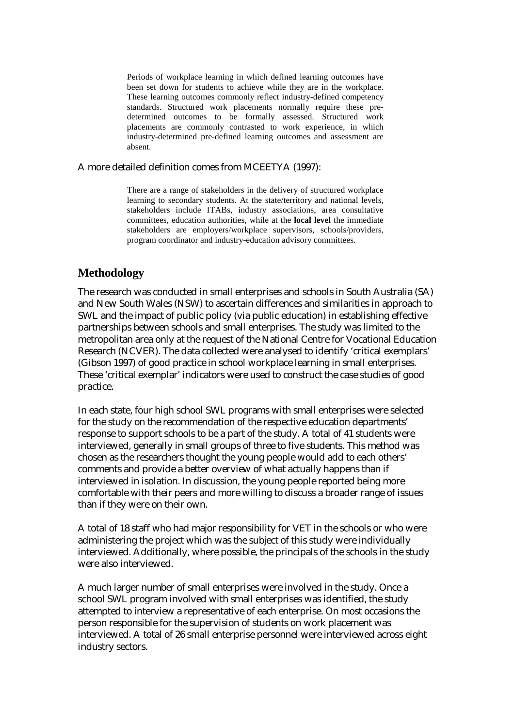Periods of workplace learning in which defined learning outcomes have been set down for students to achieve while they are in the workplace. These learning outcomes commonly reflect industry-defined competency standards. Structured work placements normally require these predetermined outcomes to be formally assessed. Structured work placements are commonly contrasted to work experience, in which industry-determined pre-defined learning outcomes and assessment are absent.

#### A more detailed definition comes from MCEETYA (1997):

There are a range of stakeholders in the delivery of structured workplace learning to secondary students. At the state/territory and national levels, stakeholders include ITABs, industry associations, area consultative committees, education authorities, while at the **local level** the immediate stakeholders are employers/workplace supervisors, schools/providers, program coordinator and industry-education advisory committees.

# **Methodology**

The research was conducted in small enterprises and schools in South Australia (SA) and New South Wales (NSW) to ascertain differences and similarities in approach to SWL and the impact of public policy (via public education) in establishing effective partnerships between schools and small enterprises. The study was limited to the metropolitan area only at the request of the National Centre for Vocational Education Research (NCVER). The data collected were analysed to identify 'critical exemplars' (Gibson 1997) of good practice in school workplace learning in small enterprises. These 'critical exemplar' indicators were used to construct the case studies of good practice.

In each state, four high school SWL programs with small enterprises were selected for the study on the recommendation of the respective education departments' response to support schools to be a part of the study. A total of 41 students were interviewed, generally in small groups of three to five students. This method was chosen as the researchers thought the young people would add to each others' comments and provide a better overview of what actually happens than if interviewed in isolation. In discussion, the young people reported being more comfortable with their peers and more willing to discuss a broader range of issues than if they were on their own.

A total of 18 staff who had major responsibility for VET in the schools or who were administering the project which was the subject of this study were individually interviewed. Additionally, where possible, the principals of the schools in the study were also interviewed.

A much larger number of small enterprises were involved in the study. Once a school SWL program involved with small enterprises was identified, the study attempted to interview a representative of each enterprise. On most occasions the person responsible for the supervision of students on work placement was interviewed. A total of 26 small enterprise personnel were interviewed across eight industry sectors.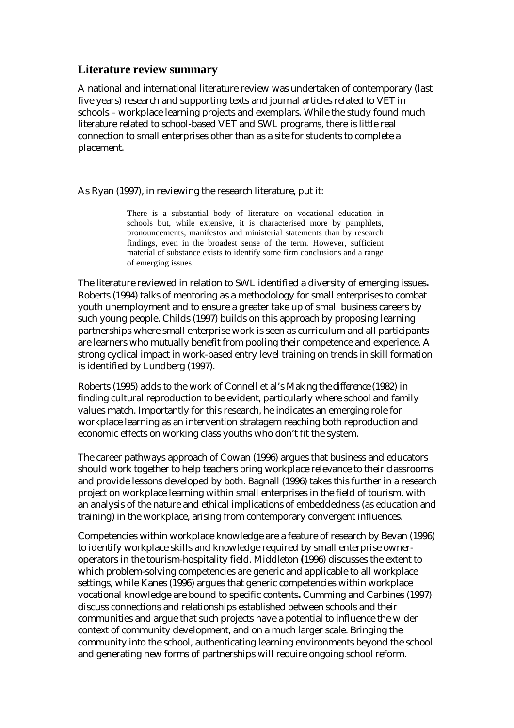# **Literature review summary**

A national and international literature review was undertaken of contemporary (last five years) research and supporting texts and journal articles related to VET in schools – workplace learning projects and exemplars. While the study found much literature related to school-based VET and SWL programs, there is little real connection to small enterprises other than as a site for students to complete a placement.

As Ryan (1997), in reviewing the research literature, put it:

There is a substantial body of literature on vocational education in schools but, while extensive, it is characterised more by pamphlets, pronouncements, manifestos and ministerial statements than by research findings, even in the broadest sense of the term. However, sufficient material of substance exists to identify some firm conclusions and a range of emerging issues.

The literature reviewed in relation to SWL identified a diversity of emerging issues**.**  Roberts (1994) talks of mentoring as a methodology for small enterprises to combat youth unemployment and to ensure a greater take up of small business careers by such young people. Childs (1997) builds on this approach by proposing learning partnerships where small enterprise work is seen as curriculum and all participants are learners who mutually benefit from pooling their competence and experience. A strong cyclical impact in work-based entry level training on trends in skill formation is identified by Lundberg (1997).

Roberts (1995) adds to the work of Connell et al's *Making the difference* (1982) in finding cultural reproduction to be evident, particularly where school and family values match. Importantly for this research, he indicates an emerging role for workplace learning as an intervention stratagem reaching both reproduction and economic effects on working class youths who don't fit the system.

The career pathways approach of Cowan (1996) argues that business and educators should work together to help teachers bring workplace relevance to their classrooms and provide lessons developed by both. Bagnall (1996) takes this further in a research project on workplace learning within small enterprises in the field of tourism, with an analysis of the nature and ethical implications of embeddedness (as education and training) in the workplace, arising from contemporary convergent influences.

Competencies within workplace knowledge are a feature of research by Bevan (1996) to identify workplace skills and knowledge required by small enterprise owneroperators in the tourism-hospitality field. Middleton **(**1996) discusses the extent to which problem-solving competencies are generic and applicable to all workplace settings, while Kanes (1996) argues that generic competencies within workplace vocational knowledge are bound to specific contents**.** Cumming and Carbines (1997) discuss connections and relationships established between schools and their communities and argue that such projects have a potential to influence the wider context of community development, and on a much larger scale. Bringing the community into the school, authenticating learning environments beyond the school and generating new forms of partnerships will require ongoing school reform.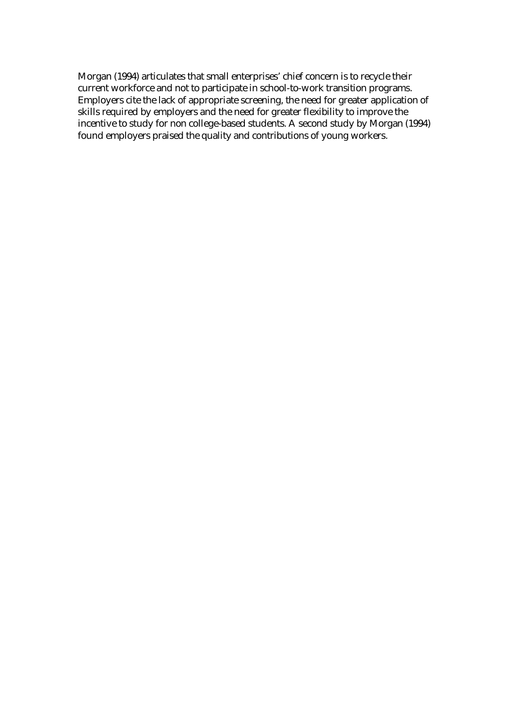Morgan (1994) articulates that small enterprises' chief concern is to recycle their current workforce and not to participate in school-to-work transition programs. Employers cite the lack of appropriate screening, the need for greater application of skills required by employers and the need for greater flexibility to improve the incentive to study for non college-based students. A second study by Morgan (1994) found employers praised the quality and contributions of young workers.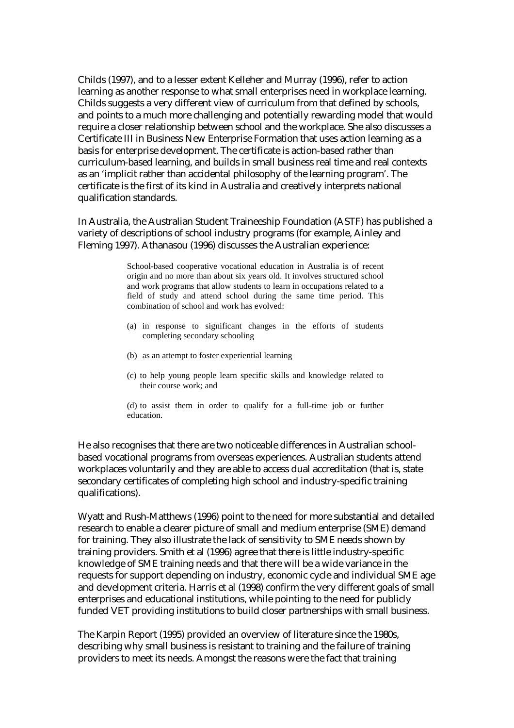Childs (1997), and to a lesser extent Kelleher and Murray (1996), refer to action learning as another response to what small enterprises need in workplace learning. Childs suggests a very different view of curriculum from that defined by schools, and points to a much more challenging and potentially rewarding model that would require a closer relationship between school and the workplace. She also discusses a Certificate III in Business New Enterprise Formation that uses action learning as a basis for enterprise development. The certificate is action-based rather than curriculum-based learning, and builds in small business real time and real contexts as an 'implicit rather than accidental philosophy of the learning program'. The certificate is the first of its kind in Australia and creatively interprets national qualification standards.

In Australia, the Australian Student Traineeship Foundation (ASTF) has published a variety of descriptions of school industry programs (for example, Ainley and Fleming 1997). Athanasou (1996) discusses the Australian experience:

> School-based cooperative vocational education in Australia is of recent origin and no more than about six years old. It involves structured school and work programs that allow students to learn in occupations related to a field of study and attend school during the same time period. This combination of school and work has evolved:

- (a) in response to significant changes in the efforts of students completing secondary schooling
- (b) as an attempt to foster experiential learning
- (c) to help young people learn specific skills and knowledge related to their course work; and

(d) to assist them in order to qualify for a full-time job or further education.

He also recognises that there are two noticeable differences in Australian schoolbased vocational programs from overseas experiences. Australian students attend workplaces voluntarily and they are able to access dual accreditation (that is, state secondary certificates of completing high school and industry-specific training qualifications).

Wyatt and Rush-Matthews (1996) point to the need for more substantial and detailed research to enable a clearer picture of small and medium enterprise (SME) demand for training. They also illustrate the lack of sensitivity to SME needs shown by training providers. Smith et al (1996) agree that there is little industry-specific knowledge of SME training needs and that there will be a wide variance in the requests for support depending on industry, economic cycle and individual SME age and development criteria. Harris et al (1998) confirm the very different goals of small enterprises and educational institutions, while pointing to the need for publicly funded VET providing institutions to build closer partnerships with small business.

The Karpin Report (1995) provided an overview of literature since the 1980s, describing why small business is resistant to training and the failure of training providers to meet its needs. Amongst the reasons were the fact that training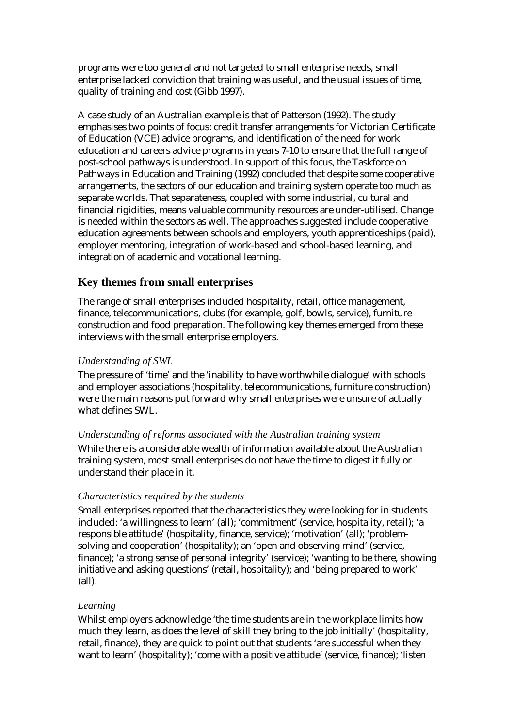programs were too general and not targeted to small enterprise needs, small enterprise lacked conviction that training was useful, and the usual issues of time, quality of training and cost (Gibb 1997).

A case study of an Australian example is that of Patterson (1992). The study emphasises two points of focus: credit transfer arrangements for Victorian Certificate of Education (VCE) advice programs, and identification of the need for work education and careers advice programs in years 7-10 to ensure that the full range of post-school pathways is understood. In support of this focus, the Taskforce on Pathways in Education and Training (1992) concluded that despite some cooperative arrangements, the sectors of our education and training system operate too much as separate worlds. That separateness, coupled with some industrial, cultural and financial rigidities, means valuable community resources are under-utilised. Change is needed within the sectors as well. The approaches suggested include cooperative education agreements between schools and employers, youth apprenticeships (paid), employer mentoring, integration of work-based and school-based learning, and integration of academic and vocational learning.

# **Key themes from small enterprises**

The range of small enterprises included hospitality, retail, office management, finance, telecommunications, clubs (for example, golf, bowls, service), furniture construction and food preparation. The following key themes emerged from these interviews with the small enterprise employers.

### *Understanding of SWL*

The pressure of 'time' and the 'inability to have worthwhile dialogue' with schools and employer associations (hospitality, telecommunications, furniture construction) were the main reasons put forward why small enterprises were unsure of actually what defines SWL.

#### *Understanding of reforms associated with the Australian training system*

While there is a considerable wealth of information available about the Australian training system, most small enterprises do not have the time to digest it fully or understand their place in it.

#### *Characteristics required by the students*

Small enterprises reported that the characteristics they were looking for in students included: 'a willingness to learn' (all); 'commitment' (service, hospitality, retail); 'a responsible attitude' (hospitality, finance, service); 'motivation' (all); 'problemsolving and cooperation' (hospitality); an 'open and observing mind' (service, finance); 'a strong sense of personal integrity' (service); 'wanting to be there, showing initiative and asking questions' (retail, hospitality); and 'being prepared to work' (all).

#### *Learning*

Whilst employers acknowledge 'the time students are in the workplace limits how much they learn, as does the level of skill they bring to the job initially' (hospitality, retail, finance), they are quick to point out that students 'are successful when they want to learn' (hospitality); 'come with a positive attitude' (service, finance); 'listen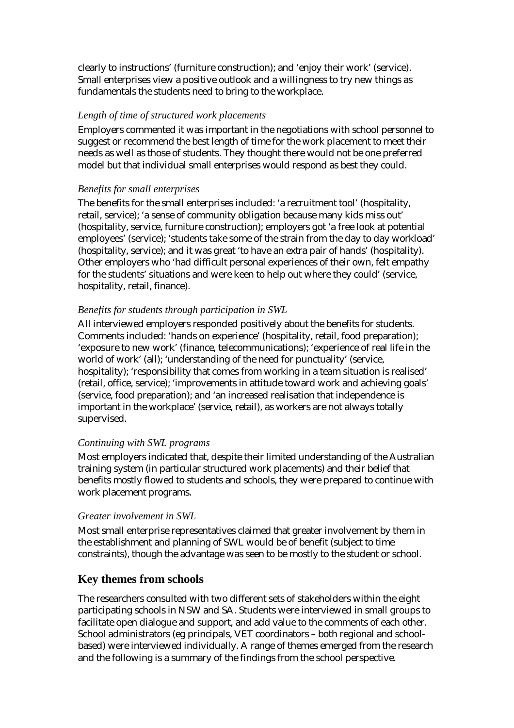clearly to instructions' (furniture construction); and 'enjoy their work' (service). Small enterprises view a positive outlook and a willingness to try new things as fundamentals the students need to bring to the workplace.

#### *Length of time of structured work placements*

Employers commented it was important in the negotiations with school personnel to suggest or recommend the best length of time for the work placement to meet their needs as well as those of students. They thought there would not be one preferred model but that individual small enterprises would respond as best they could.

#### *Benefits for small enterprises*

The benefits for the small enterprises included: 'a recruitment tool' (hospitality, retail, service); 'a sense of community obligation because many kids miss out' (hospitality, service, furniture construction); employers got 'a free look at potential employees' (service); 'students take some of the strain from the day to day workload' (hospitality, service); and it was great 'to have an extra pair of hands' (hospitality). Other employers who 'had difficult personal experiences of their own, felt empathy for the students' situations and were keen to help out where they could' (service, hospitality, retail, finance).

#### *Benefits for students through participation in SWL*

All interviewed employers responded positively about the benefits for students. Comments included: 'hands on experience' (hospitality, retail, food preparation); 'exposure to new work' (finance, telecommunications); 'experience of real life in the world of work' (all); 'understanding of the need for punctuality' (service, hospitality); 'responsibility that comes from working in a team situation is realised' (retail, office, service); 'improvements in attitude toward work and achieving goals' (service, food preparation); and 'an increased realisation that independence is important in the workplace' (service, retail), as workers are not always totally supervised.

#### *Continuing with SWL programs*

Most employers indicated that, despite their limited understanding of the Australian training system (in particular structured work placements) and their belief that benefits mostly flowed to students and schools, they were prepared to continue with work placement programs.

#### *Greater involvement in SWL*

Most small enterprise representatives claimed that greater involvement by them in the establishment and planning of SWL would be of benefit (subject to time constraints), though the advantage was seen to be mostly to the student or school.

# **Key themes from schools**

The researchers consulted with two different sets of stakeholders within the eight participating schools in NSW and SA. Students were interviewed in small groups to facilitate open dialogue and support, and add value to the comments of each other. School administrators (eg principals, VET coordinators – both regional and schoolbased) were interviewed individually. A range of themes emerged from the research and the following is a summary of the findings from the school perspective.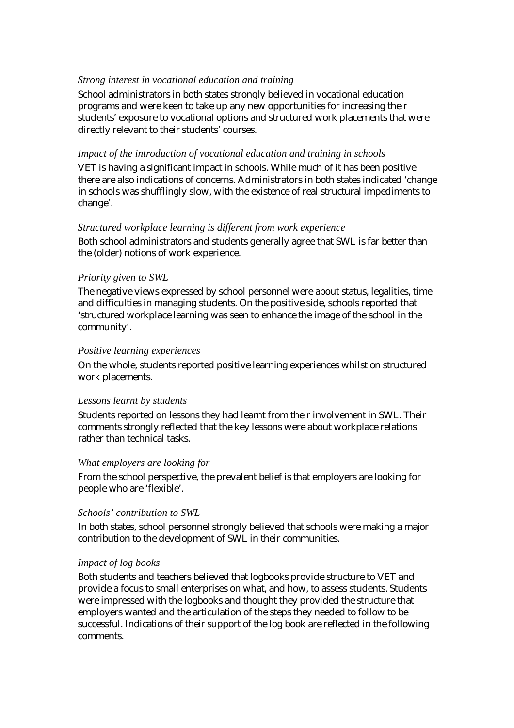#### *Strong interest in vocational education and training*

School administrators in both states strongly believed in vocational education programs and were keen to take up any new opportunities for increasing their students' exposure to vocational options and structured work placements that were directly relevant to their students' courses.

#### *Impact of the introduction of vocational education and training in schools*

VET is having a significant impact in schools. While much of it has been positive there are also indications of concerns. Administrators in both states indicated 'change in schools was shufflingly slow, with the existence of real structural impediments to change'.

#### *Structured workplace learning is different from work experience*

Both school administrators and students generally agree that SWL is far better than the (older) notions of work experience.

#### *Priority given to SWL*

The negative views expressed by school personnel were about status, legalities, time and difficulties in managing students. On the positive side, schools reported that 'structured workplace learning was seen to enhance the image of the school in the community'.

#### *Positive learning experiences*

On the whole, students reported positive learning experiences whilst on structured work placements.

#### *Lessons learnt by students*

Students reported on lessons they had learnt from their involvement in SWL. Their comments strongly reflected that the key lessons were about workplace relations rather than technical tasks.

#### *What employers are looking for*

From the school perspective, the prevalent belief is that employers are looking for people who are 'flexible'.

#### *Schools' contribution to SWL*

In both states, school personnel strongly believed that schools were making a major contribution to the development of SWL in their communities.

#### *Impact of log books*

Both students and teachers believed that logbooks provide structure to VET and provide a focus to small enterprises on what, and how, to assess students. Students were impressed with the logbooks and thought they provided the structure that employers wanted and the articulation of the steps they needed to follow to be successful. Indications of their support of the log book are reflected in the following comments.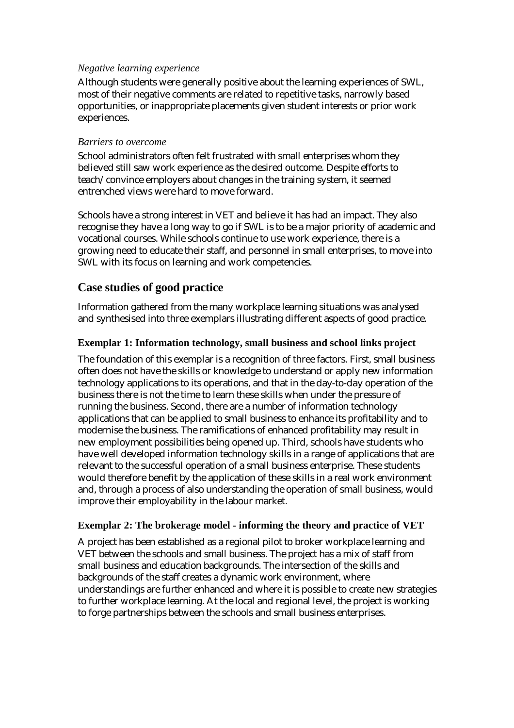#### *Negative learning experience*

Although students were generally positive about the learning experiences of SWL, most of their negative comments are related to repetitive tasks, narrowly based opportunities, or inappropriate placements given student interests or prior work experiences.

#### *Barriers to overcome*

School administrators often felt frustrated with small enterprises whom they believed still saw work experience as the desired outcome. Despite efforts to teach/convince employers about changes in the training system, it seemed entrenched views were hard to move forward.

Schools have a strong interest in VET and believe it has had an impact. They also recognise they have a long way to go if SWL is to be a major priority of academic and vocational courses. While schools continue to use work experience, there is a growing need to educate their staff, and personnel in small enterprises, to move into SWL with its focus on learning and work competencies.

# **Case studies of good practice**

Information gathered from the many workplace learning situations was analysed and synthesised into three exemplars illustrating different aspects of good practice.

# **Exemplar 1: Information technology, small business and school links project**

The foundation of this exemplar is a recognition of three factors. First, small business often does not have the skills or knowledge to understand or apply new information technology applications to its operations, and that in the day-to-day operation of the business there is not the time to learn these skills when under the pressure of running the business. Second, there are a number of information technology applications that can be applied to small business to enhance its profitability and to modernise the business. The ramifications of enhanced profitability may result in new employment possibilities being opened up. Third, schools have students who have well developed information technology skills in a range of applications that are relevant to the successful operation of a small business enterprise. These students would therefore benefit by the application of these skills in a real work environment and, through a process of also understanding the operation of small business, would improve their employability in the labour market.

# **Exemplar 2: The brokerage model - informing the theory and practice of VET**

A project has been established as a regional pilot to broker workplace learning and VET between the schools and small business. The project has a mix of staff from small business and education backgrounds. The intersection of the skills and backgrounds of the staff creates a dynamic work environment, where understandings are further enhanced and where it is possible to create new strategies to further workplace learning. At the local and regional level, the project is working to forge partnerships between the schools and small business enterprises.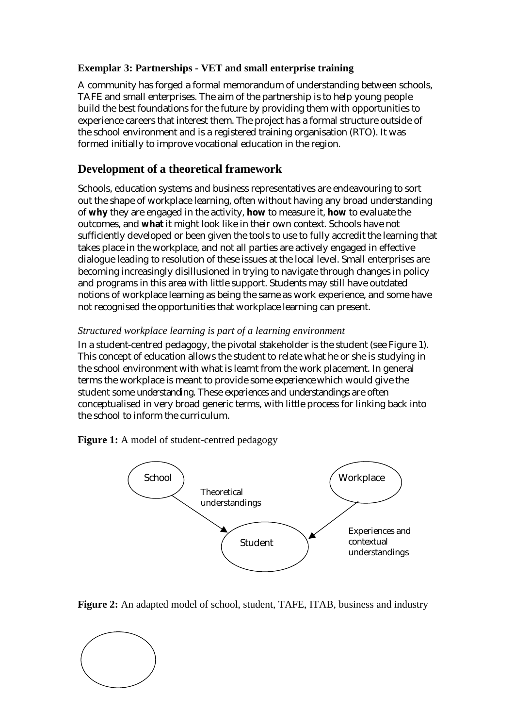# **Exemplar 3: Partnerships - VET and small enterprise training**

A community has forged a formal memorandum of understanding between schools, TAFE and small enterprises. The aim of the partnership is to help young people build the best foundations for the future by providing them with opportunities to experience careers that interest them. The project has a formal structure outside of the school environment and is a registered training organisation (RTO). It was formed initially to improve vocational education in the region.

# **Development of a theoretical framework**

Schools, education systems and business representatives are endeavouring to sort out the shape of workplace learning, often without having any broad understanding of **why** they are engaged in the activity, **how** to measure it, **how** to evaluate the outcomes, and **what** it might look like in their own context. Schools have not sufficiently developed or been given the tools to use to fully accredit the learning that takes place in the workplace, and not all parties are actively engaged in effective dialogue leading to resolution of these issues at the local level. Small enterprises are becoming increasingly disillusioned in trying to navigate through changes in policy and programs in this area with little support. Students may still have outdated notions of workplace learning as being the same as work experience, and some have not recognised the opportunities that workplace learning can present.

# *Structured workplace learning is part of a learning environment*

In a student-centred pedagogy, the pivotal stakeholder is the student (see Figure 1). This concept of education allows the student to relate what he or she is studying in the school environment with what is learnt from the work placement. In general terms the workplace is meant to provide some *experience* which would give the student some *understanding.* These *experiences* and *understandings* are often conceptualised in very broad generic terms, with little process for linking back into the school to inform the curriculum.

**Figure 1:** A model of student-centred pedagogy





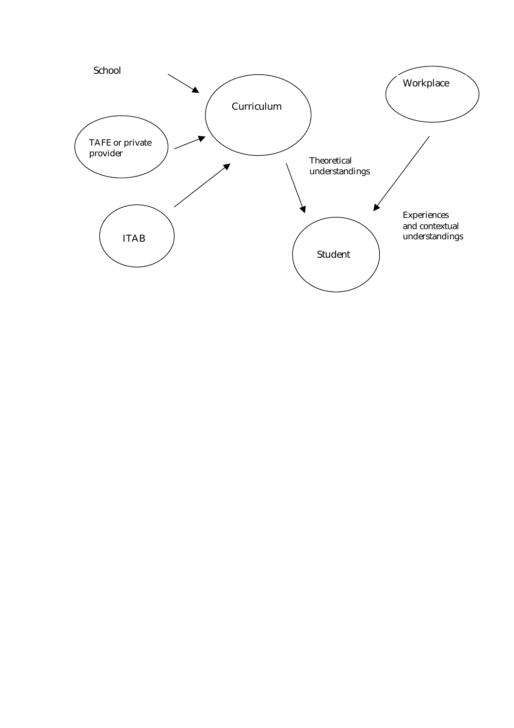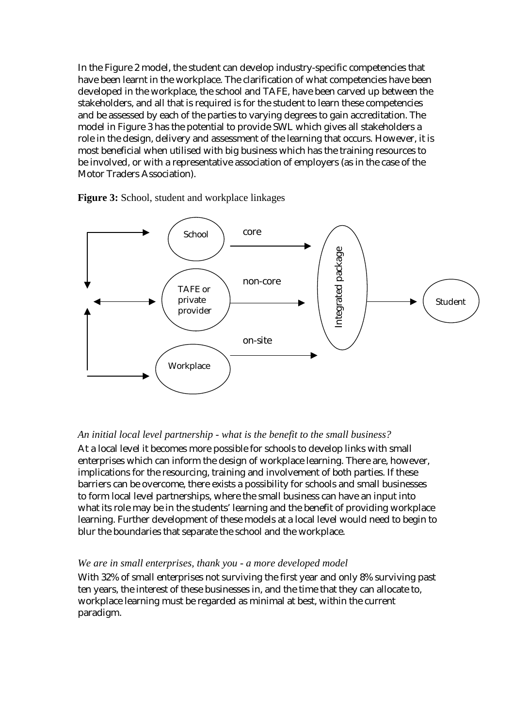In the Figure 2 model, the student can develop industry-specific competencies that have been learnt in the workplace. The clarification of what competencies have been developed in the workplace, the school and TAFE, have been carved up between the stakeholders, and all that is required is for the student to learn these competencies and be assessed by each of the parties to varying degrees to gain accreditation. The model in Figure 3 has the potential to provide SWL which gives all stakeholders a role in the design, delivery and assessment of the learning that occurs. However, it is most beneficial when utilised with big business which has the training resources to be involved, or with a representative association of employers (as in the case of the Motor Traders Association).



**Figure 3:** School, student and workplace linkages

#### *An initial local level partnership - what is the benefit to the small business?*

At a local level it becomes more possible for schools to develop links with small enterprises which can inform the design of workplace learning. There are, however, implications for the resourcing, training and involvement of both parties. If these barriers can be overcome, there exists a possibility for schools and small businesses to form local level partnerships, where the small business can have an input into what its role may be in the students' learning and the benefit of providing workplace learning. Further development of these models at a local level would need to begin to blur the boundaries that separate the school and the workplace.

#### *We are in small enterprises, thank you - a more developed model*

With 32% of small enterprises not surviving the first year and only 8% surviving past ten years, the interest of these businesses in, and the time that they can allocate to, workplace learning must be regarded as minimal at best, within the current paradigm.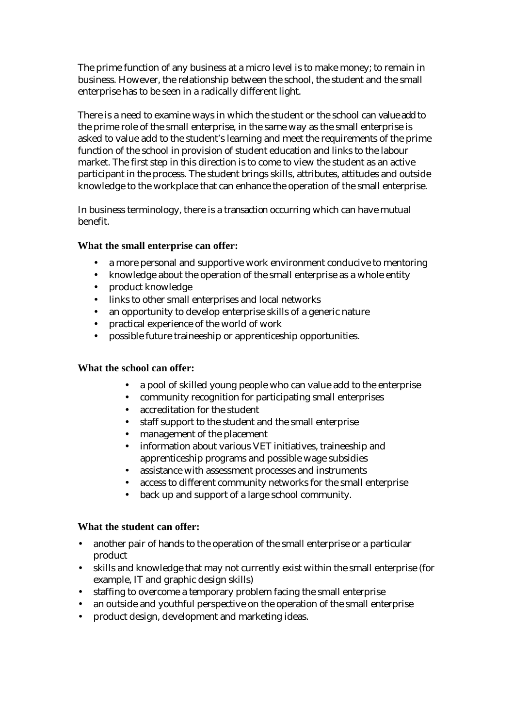The prime function of any business at a micro level is to make money; to remain in business. However, the relationship between the school, the student and the small enterprise has to be seen in a radically different light.

There is a need to examine ways in which the student or the school can *value add* to the prime role of the small enterprise, in the same way as the small enterprise is asked to value add to the student's learning and meet the requirements of the prime function of the school in provision of student education and links to the labour market. The first step in this direction is to come to view the student as an active participant in the process. The student brings skills, attributes, attitudes and outside knowledge to the workplace that can enhance the operation of the small enterprise.

In business terminology, there is a *transaction* occurring which can have mutual benefit.

#### **What the small enterprise can offer:**

- a more personal and supportive work environment conducive to mentoring
- knowledge about the operation of the small enterprise as a whole entity
- product knowledge
- links to other small enterprises and local networks
- an opportunity to develop enterprise skills of a generic nature
- practical experience of the world of work
- possible future traineeship or apprenticeship opportunities.

#### **What the school can offer:**

- a pool of skilled young people who can value add to the enterprise
- community recognition for participating small enterprises
- accreditation for the student
- staff support to the student and the small enterprise
- management of the placement
- information about various VET initiatives, traineeship and apprenticeship programs and possible wage subsidies
- assistance with assessment processes and instruments
- access to different community networks for the small enterprise
- back up and support of a large school community.

#### **What the student can offer:**

- another pair of hands to the operation of the small enterprise or a particular product
- skills and knowledge that may not currently exist within the small enterprise (for example, IT and graphic design skills)
- staffing to overcome a temporary problem facing the small enterprise
- an outside and youthful perspective on the operation of the small enterprise
- product design, development and marketing ideas.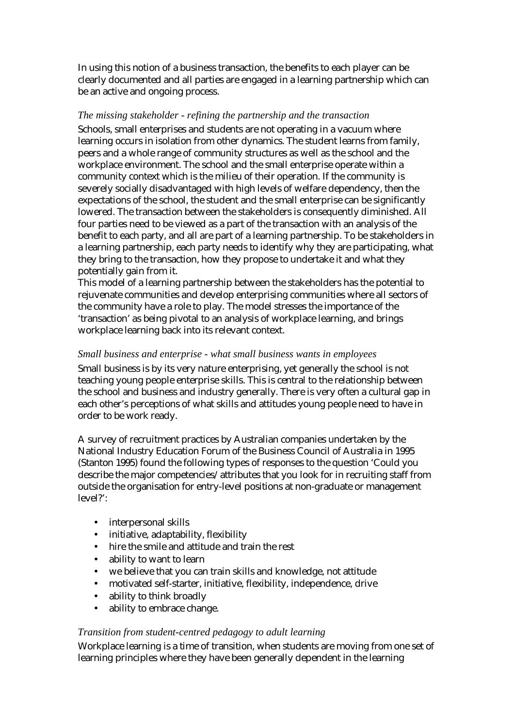In using this notion of a business transaction, the benefits to each player can be clearly documented and all parties are engaged in a learning partnership which can be an active and ongoing process.

#### *The missing stakeholder - refining the partnership and the transaction*

Schools, small enterprises and students are not operating in a vacuum where learning occurs in isolation from other dynamics. The student learns from family, peers and a whole range of community structures as well as the school and the workplace environment. The school and the small enterprise operate within a community context which is the milieu of their operation. If the community is severely socially disadvantaged with high levels of welfare dependency, then the expectations of the school, the student and the small enterprise can be significantly lowered. The transaction between the stakeholders is consequently diminished. All four parties need to be viewed as a part of the transaction with an analysis of the benefit to each party, and all are part of a learning partnership. To be stakeholders in a learning partnership, each party needs to identify why they are participating, what they bring to the transaction, how they propose to undertake it and what they potentially gain from it.

This model of a learning partnership between the stakeholders has the potential to rejuvenate communities and develop enterprising communities where all sectors of the community have a role to play. The model stresses the importance of the 'transaction' as being pivotal to an analysis of workplace learning, and brings workplace learning back into its relevant context.

#### *Small business and enterprise - what small business wants in employees*

Small business is by its very nature enterprising, yet generally the school is not teaching young people enterprise skills. This is central to the relationship between the school and business and industry generally. There is very often a cultural gap in each other's perceptions of what skills and attitudes young people need to have in order to be work ready.

A survey of recruitment practices by Australian companies undertaken by the National Industry Education Forum of the Business Council of Australia in 1995 (Stanton 1995) found the following types of responses to the question 'Could you describe the major competencies/attributes that you look for in recruiting staff from outside the organisation for entry-level positions at non-graduate or management level?':

- interpersonal skills
- initiative, adaptability, flexibility
- hire the smile and attitude and train the rest
- ability to want to learn
- we believe that you can train skills and knowledge, not attitude
- motivated self-starter, initiative, flexibility, independence, drive
- ability to think broadly
- ability to embrace change.

# *Transition from student-centred pedagogy to adult learning*

Workplace learning is a time of transition, when students are moving from one set of learning principles where they have been generally dependent in the learning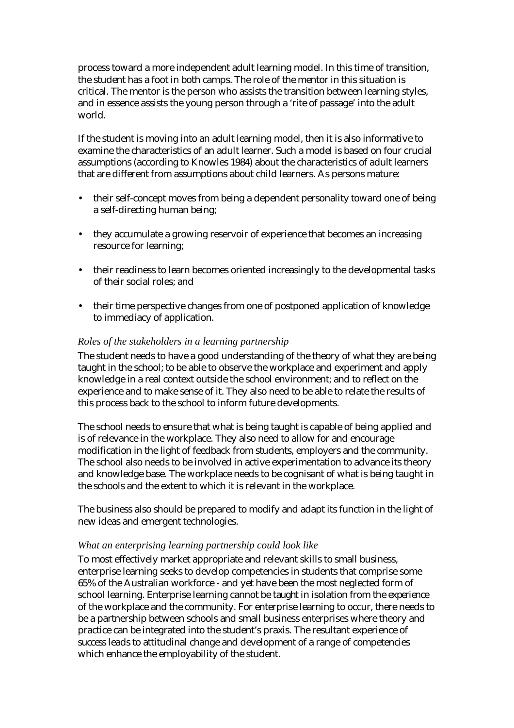process toward a more independent adult learning model. In this time of transition, the student has a foot in both camps. The role of the mentor in this situation is critical. The mentor is the person who assists the transition between learning styles, and in essence assists the young person through a 'rite of passage' into the adult world.

If the student is moving into an adult learning model, then it is also informative to examine the characteristics of an adult learner. Such a model is based on four crucial assumptions (according to Knowles 1984) about the characteristics of adult learners that are different from assumptions about child learners. As persons mature:

- their self-concept moves from being a dependent personality toward one of being a self-directing human being;
- they accumulate a growing reservoir of experience that becomes an increasing resource for learning;
- their readiness to learn becomes oriented increasingly to the developmental tasks of their social roles; and
- their time perspective changes from one of postponed application of knowledge to immediacy of application.

#### *Roles of the stakeholders in a learning partnership*

The student needs to have a good understanding of the theory of what they are being taught in the school; to be able to observe the workplace and experiment and apply knowledge in a real context outside the school environment; and to reflect on the experience and to make sense of it. They also need to be able to relate the results of this process back to the school to inform future developments.

The school needs to ensure that what is being taught is capable of being applied and is of relevance in the workplace. They also need to allow for and encourage modification in the light of feedback from students, employers and the community. The school also needs to be involved in active experimentation to advance its theory and knowledge base. The workplace needs to be cognisant of what is being taught in the schools and the extent to which it is relevant in the workplace.

The business also should be prepared to modify and adapt its function in the light of new ideas and emergent technologies.

#### *What an enterprising learning partnership could look like*

To most effectively market appropriate and relevant skills to small business, enterprise learning seeks to develop competencies in students that comprise some 65% of the Australian workforce - and yet have been the most neglected form of school learning. Enterprise learning cannot be *taught* in isolation from the *experience* of the workplace and the community. For enterprise learning to occur, there needs to be a partnership between schools and small business enterprises where theory and practice can be integrated into the student's praxis. The resultant experience of *success* leads to attitudinal change and development of a range of competencies which enhance the employability of the student.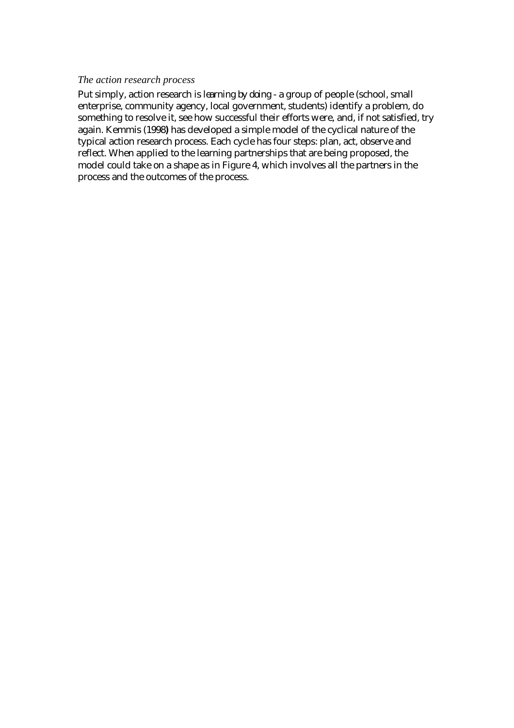#### *The action research process*

Put simply, action research is *learning by doing -* a group of people (school, small enterprise, community agency, local government, students) identify a problem, do something to resolve it, see how successful their efforts were, and, if not satisfied, try again. Kemmis (1998**)** has developed a simple model of the cyclical nature of the typical action research process. Each cycle has four steps: plan, act, observe and reflect. When applied to the learning partnerships that are being proposed, the model could take on a shape as in Figure 4, which involves all the partners in the process and the outcomes of the process.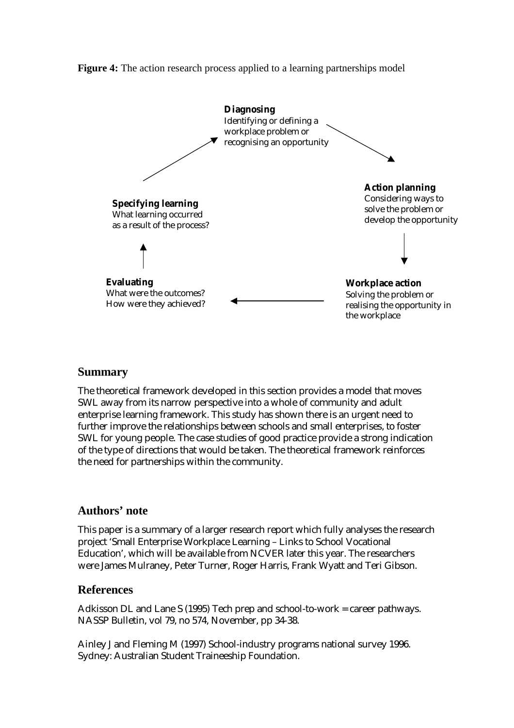#### **Figure 4:** The action research process applied to a learning partnerships model



# **Summary**

The theoretical framework developed in this section provides a model that moves SWL away from its narrow perspective into a whole of community and adult enterprise learning framework. This study has shown there is an urgent need to further improve the relationships between schools and small enterprises, to foster SWL for young people. The case studies of good practice provide a strong indication of the type of directions that would be taken. The theoretical framework reinforces the need for partnerships within the community.

# **Authors' note**

This paper is a summary of a larger research report which fully analyses the research project 'Small Enterprise Workplace Learning – Links to School Vocational Education', which will be available from NCVER later this year. The researchers were James Mulraney, Peter Turner, Roger Harris, Frank Wyatt and Teri Gibson.

# **References**

Adkisson DL and Lane S (1995) Tech prep and school-to-work = career pathways. NASSP Bulletin, vol 79, no 574, November, pp 34-38.

Ainley J and Fleming M (1997) School-industry programs national survey 1996. Sydney: Australian Student Traineeship Foundation.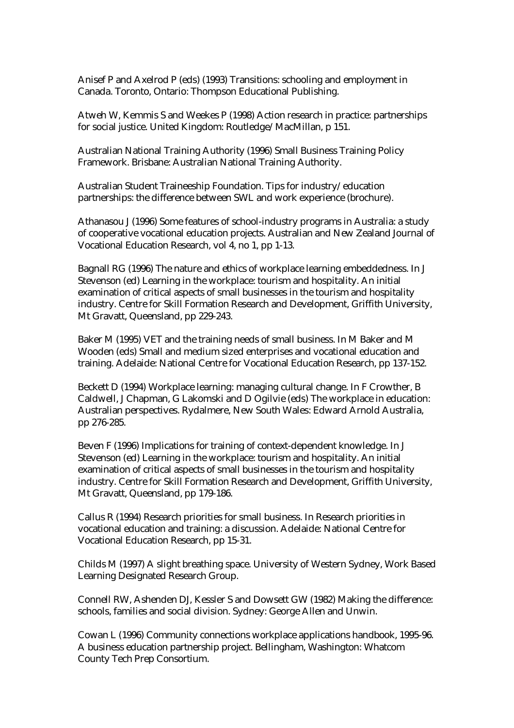Anisef P and Axelrod P (eds) (1993) Transitions: schooling and employment in Canada. Toronto, Ontario: Thompson Educational Publishing.

Atweh W, Kemmis S and Weekes P (1998) Action research in practice: partnerships for social justice. United Kingdom: Routledge/MacMillan, p 151.

Australian National Training Authority (1996) Small Business Training Policy Framework. Brisbane: Australian National Training Authority.

Australian Student Traineeship Foundation. Tips for industry/education partnerships: the difference between SWL and work experience (brochure).

Athanasou J (1996) Some features of school-industry programs in Australia: a study of cooperative vocational education projects. Australian and New Zealand Journal of Vocational Education Research, vol 4, no 1, pp 1-13.

Bagnall RG (1996) The nature and ethics of workplace learning embeddedness. In J Stevenson (ed) Learning in the workplace: tourism and hospitality. An initial examination of critical aspects of small businesses in the tourism and hospitality industry. Centre for Skill Formation Research and Development, Griffith University, Mt Gravatt, Queensland, pp 229-243.

Baker M (1995) VET and the training needs of small business. In M Baker and M Wooden (eds) Small and medium sized enterprises and vocational education and training. Adelaide: National Centre for Vocational Education Research, pp 137-152.

Beckett D (1994) Workplace learning: managing cultural change. In F Crowther, B Caldwell, J Chapman, G Lakomski and D Ogilvie (eds) The workplace in education: Australian perspectives. Rydalmere, New South Wales: Edward Arnold Australia, pp 276-285.

Beven F (1996) Implications for training of context-dependent knowledge. In J Stevenson (ed) Learning in the workplace: tourism and hospitality. An initial examination of critical aspects of small businesses in the tourism and hospitality industry. Centre for Skill Formation Research and Development, Griffith University, Mt Gravatt, Queensland, pp 179-186.

Callus R (1994) Research priorities for small business. In Research priorities in vocational education and training: a discussion. Adelaide: National Centre for Vocational Education Research, pp 15-31.

Childs M (1997) A slight breathing space. University of Western Sydney, Work Based Learning Designated Research Group.

Connell RW, Ashenden DJ, Kessler S and Dowsett GW (1982) Making the difference: schools, families and social division. Sydney: George Allen and Unwin.

Cowan L (1996) Community connections workplace applications handbook, 1995-96. A business education partnership project. Bellingham, Washington: Whatcom County Tech Prep Consortium.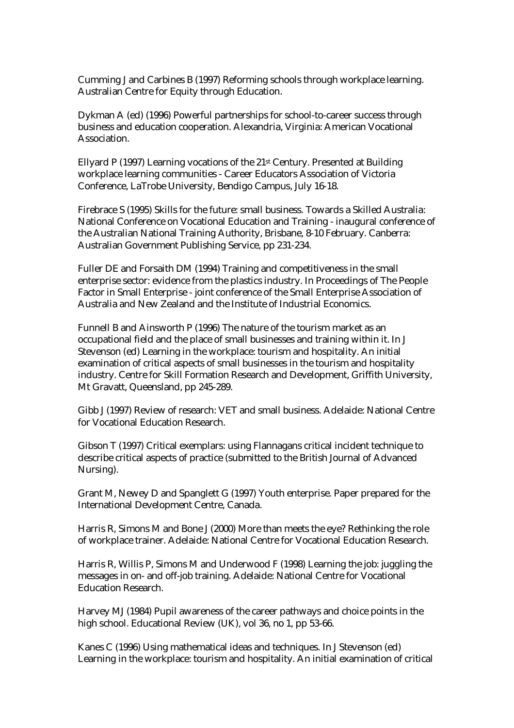Cumming J and Carbines B (1997) Reforming schools through workplace learning. Australian Centre for Equity through Education.

Dykman A (ed) (1996) Powerful partnerships for school-to-career success through business and education cooperation. Alexandria, Virginia: American Vocational Association.

Ellyard P (1997) Learning vocations of the 21st Century. Presented at Building workplace learning communities - Career Educators Association of Victoria Conference, LaTrobe University, Bendigo Campus, July 16-18.

Firebrace S (1995) Skills for the future: small business. Towards a Skilled Australia: National Conference on Vocational Education and Training - inaugural conference of the Australian National Training Authority, Brisbane, 8-10 February. Canberra: Australian Government Publishing Service, pp 231-234.

Fuller DE and Forsaith DM (1994) Training and competitiveness in the small enterprise sector: evidence from the plastics industry. In Proceedings of The People Factor in Small Enterprise - joint conference of the Small Enterprise Association of Australia and New Zealand and the Institute of Industrial Economics.

Funnell B and Ainsworth P (1996) The nature of the tourism market as an occupational field and the place of small businesses and training within it. In J Stevenson (ed) Learning in the workplace: tourism and hospitality. An initial examination of critical aspects of small businesses in the tourism and hospitality industry. Centre for Skill Formation Research and Development, Griffith University, Mt Gravatt, Queensland, pp 245-289.

Gibb J (1997) Review of research: VET and small business. Adelaide: National Centre for Vocational Education Research.

Gibson T (1997) Critical exemplars: using Flannagans critical incident technique to describe critical aspects of practice (submitted to the British Journal of Advanced Nursing).

Grant M, Newey D and Spanglett G (1997) Youth enterprise. Paper prepared for the International Development Centre, Canada.

Harris R, Simons M and Bone J (2000) More than meets the eye? Rethinking the role of workplace trainer. Adelaide: National Centre for Vocational Education Research.

Harris R, Willis P, Simons M and Underwood F (1998) Learning the job: juggling the messages in on- and off-job training. Adelaide: National Centre for Vocational Education Research.

Harvey MJ (1984) Pupil awareness of the career pathways and choice points in the high school. Educational Review (UK), vol 36, no 1, pp 53-66.

Kanes C (1996) Using mathematical ideas and techniques. In J Stevenson (ed) Learning in the workplace: tourism and hospitality. An initial examination of critical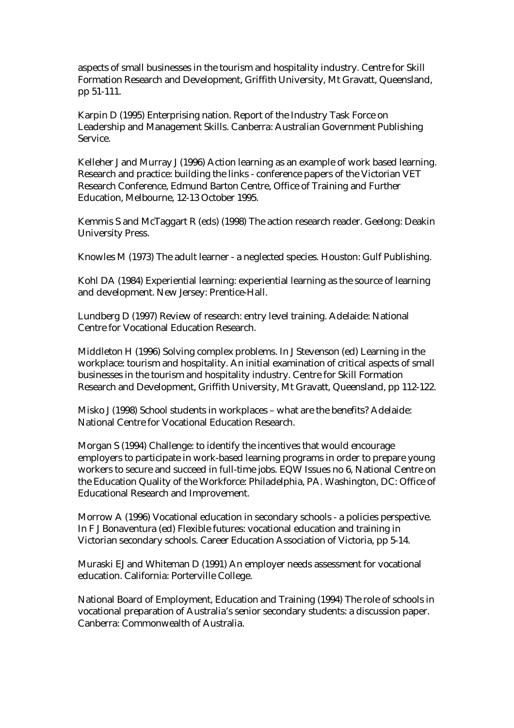aspects of small businesses in the tourism and hospitality industry. Centre for Skill Formation Research and Development, Griffith University, Mt Gravatt, Queensland, pp 51-111.

Karpin D (1995) Enterprising nation. Report of the Industry Task Force on Leadership and Management Skills. Canberra: Australian Government Publishing Service.

Kelleher J and Murray J (1996) Action learning as an example of work based learning. Research and practice: building the links - conference papers of the Victorian VET Research Conference, Edmund Barton Centre, Office of Training and Further Education, Melbourne, 12-13 October 1995.

Kemmis S and McTaggart R (eds) (1998) The action research reader. Geelong: Deakin University Press.

Knowles M (1973) The adult learner - a neglected species. Houston: Gulf Publishing.

Kohl DA (1984) Experiential learning: experiential learning as the source of learning and development. New Jersey: Prentice-Hall.

Lundberg D (1997) Review of research: entry level training. Adelaide: National Centre for Vocational Education Research.

Middleton H (1996) Solving complex problems. In J Stevenson (ed) Learning in the workplace: tourism and hospitality. An initial examination of critical aspects of small businesses in the tourism and hospitality industry. Centre for Skill Formation Research and Development, Griffith University, Mt Gravatt, Queensland, pp 112-122.

Misko J (1998) School students in workplaces – what are the benefits? Adelaide: National Centre for Vocational Education Research.

Morgan S (1994) Challenge: to identify the incentives that would encourage employers to participate in work-based learning programs in order to prepare young workers to secure and succeed in full-time jobs. EQW Issues no 6, National Centre on the Education Quality of the Workforce: Philadelphia, PA. Washington, DC: Office of Educational Research and Improvement.

Morrow A (1996) Vocational education in secondary schools - a policies perspective. In F J Bonaventura (ed) Flexible futures: vocational education and training in Victorian secondary schools. Career Education Association of Victoria, pp 5-14.

Muraski EJ and Whiteman D (1991) An employer needs assessment for vocational education. California: Porterville College.

National Board of Employment, Education and Training (1994) The role of schools in vocational preparation of Australia's senior secondary students: a discussion paper. Canberra: Commonwealth of Australia.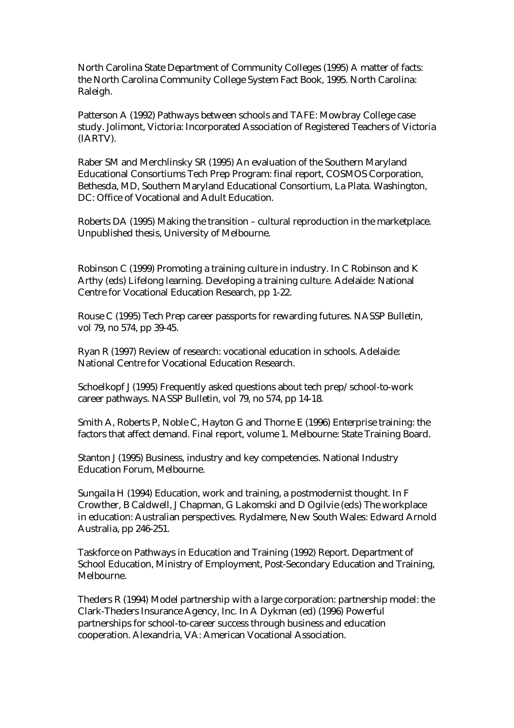North Carolina State Department of Community Colleges (1995) A matter of facts: the North Carolina Community College System Fact Book, 1995. North Carolina: Raleigh.

Patterson A (1992) Pathways between schools and TAFE: Mowbray College case study. Jolimont, Victoria: Incorporated Association of Registered Teachers of Victoria (IARTV).

Raber SM and Merchlinsky SR (1995) An evaluation of the Southern Maryland Educational Consortiums Tech Prep Program: final report, COSMOS Corporation, Bethesda, MD, Southern Maryland Educational Consortium, La Plata. Washington, DC: Office of Vocational and Adult Education.

Roberts DA (1995) Making the transition – cultural reproduction in the marketplace. Unpublished thesis, University of Melbourne.

Robinson C (1999) Promoting a training culture in industry. In C Robinson and K Arthy (eds) Lifelong learning. Developing a training culture. Adelaide: National Centre for Vocational Education Research, pp 1-22.

Rouse C (1995) Tech Prep career passports for rewarding futures. NASSP Bulletin, vol 79, no 574, pp 39-45.

Ryan R (1997) Review of research: vocational education in schools. Adelaide: National Centre for Vocational Education Research.

Schoelkopf J (1995) Frequently asked questions about tech prep/school-to-work career pathways. NASSP Bulletin, vol 79, no 574, pp 14-18.

Smith A, Roberts P, Noble C, Hayton G and Thorne E (1996) Enterprise training: the factors that affect demand. Final report, volume 1. Melbourne: State Training Board.

Stanton J (1995) Business, industry and key competencies. National Industry Education Forum, Melbourne.

Sungaila H (1994) Education, work and training, a postmodernist thought. In F Crowther, B Caldwell, J Chapman, G Lakomski and D Ogilvie (eds) The workplace in education: Australian perspectives. Rydalmere, New South Wales: Edward Arnold Australia, pp 246-251.

Taskforce on Pathways in Education and Training (1992) Report. Department of School Education, Ministry of Employment, Post-Secondary Education and Training, Melbourne.

Theders R (1994) Model partnership with a large corporation: partnership model: the Clark-Theders Insurance Agency, Inc. In A Dykman (ed) (1996) Powerful partnerships for school-to-career success through business and education cooperation. Alexandria, VA: American Vocational Association.